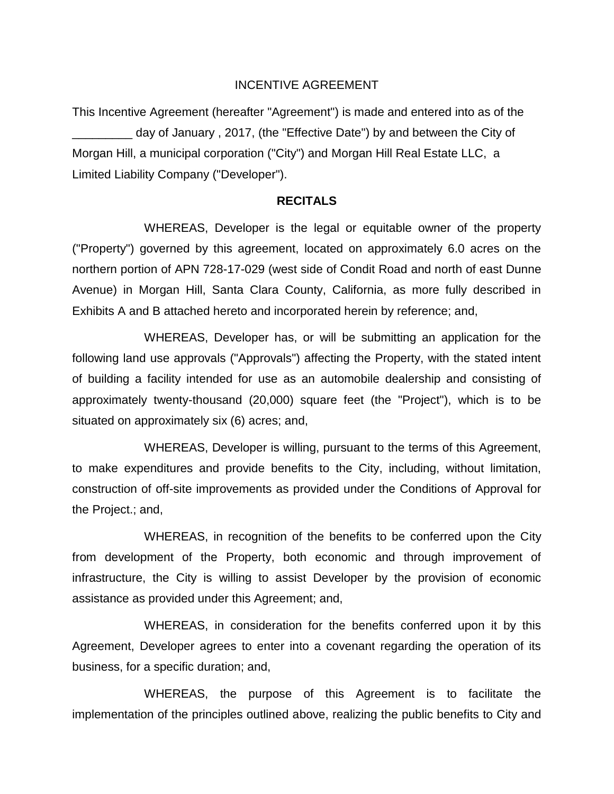## INCENTIVE AGREEMENT

This Incentive Agreement (hereafter "Agreement") is made and entered into as of the day of January, 2017, (the "Effective Date") by and between the City of Morgan Hill, a municipal corporation ("City") and Morgan Hill Real Estate LLC, a Limited Liability Company ("Developer").

#### **RECITALS**

WHEREAS, Developer is the legal or equitable owner of the property ("Property") governed by this agreement, located on approximately 6.0 acres on the northern portion of APN 728-17-029 (west side of Condit Road and north of east Dunne Avenue) in Morgan Hill, Santa Clara County, California, as more fully described in Exhibits A and B attached hereto and incorporated herein by reference; and,

WHEREAS, Developer has, or will be submitting an application for the following land use approvals ("Approvals") affecting the Property, with the stated intent of building a facility intended for use as an automobile dealership and consisting of approximately twenty-thousand (20,000) square feet (the "Project"), which is to be situated on approximately six (6) acres; and,

WHEREAS, Developer is willing, pursuant to the terms of this Agreement, to make expenditures and provide benefits to the City, including, without limitation, construction of off-site improvements as provided under the Conditions of Approval for the Project.; and,

WHEREAS, in recognition of the benefits to be conferred upon the City from development of the Property, both economic and through improvement of infrastructure, the City is willing to assist Developer by the provision of economic assistance as provided under this Agreement; and,

WHEREAS, in consideration for the benefits conferred upon it by this Agreement, Developer agrees to enter into a covenant regarding the operation of its business, for a specific duration; and,

WHEREAS, the purpose of this Agreement is to facilitate the implementation of the principles outlined above, realizing the public benefits to City and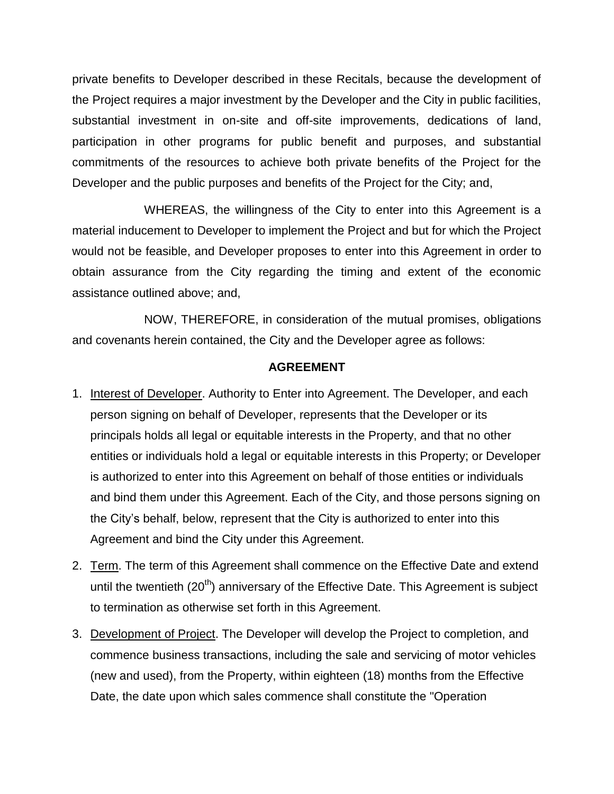private benefits to Developer described in these Recitals, because the development of the Project requires a major investment by the Developer and the City in public facilities, substantial investment in on-site and off-site improvements, dedications of land, participation in other programs for public benefit and purposes, and substantial commitments of the resources to achieve both private benefits of the Project for the Developer and the public purposes and benefits of the Project for the City; and,

WHEREAS, the willingness of the City to enter into this Agreement is a material inducement to Developer to implement the Project and but for which the Project would not be feasible, and Developer proposes to enter into this Agreement in order to obtain assurance from the City regarding the timing and extent of the economic assistance outlined above; and,

NOW, THEREFORE, in consideration of the mutual promises, obligations and covenants herein contained, the City and the Developer agree as follows:

## **AGREEMENT**

- 1. Interest of Developer. Authority to Enter into Agreement. The Developer, and each person signing on behalf of Developer, represents that the Developer or its principals holds all legal or equitable interests in the Property, and that no other entities or individuals hold a legal or equitable interests in this Property; or Developer is authorized to enter into this Agreement on behalf of those entities or individuals and bind them under this Agreement. Each of the City, and those persons signing on the City's behalf, below, represent that the City is authorized to enter into this Agreement and bind the City under this Agreement.
- 2. Term. The term of this Agreement shall commence on the Effective Date and extend until the twentieth (20<sup>th</sup>) anniversary of the Effective Date. This Agreement is subject to termination as otherwise set forth in this Agreement.
- 3. Development of Project. The Developer will develop the Project to completion, and commence business transactions, including the sale and servicing of motor vehicles (new and used), from the Property, within eighteen (18) months from the Effective Date, the date upon which sales commence shall constitute the "Operation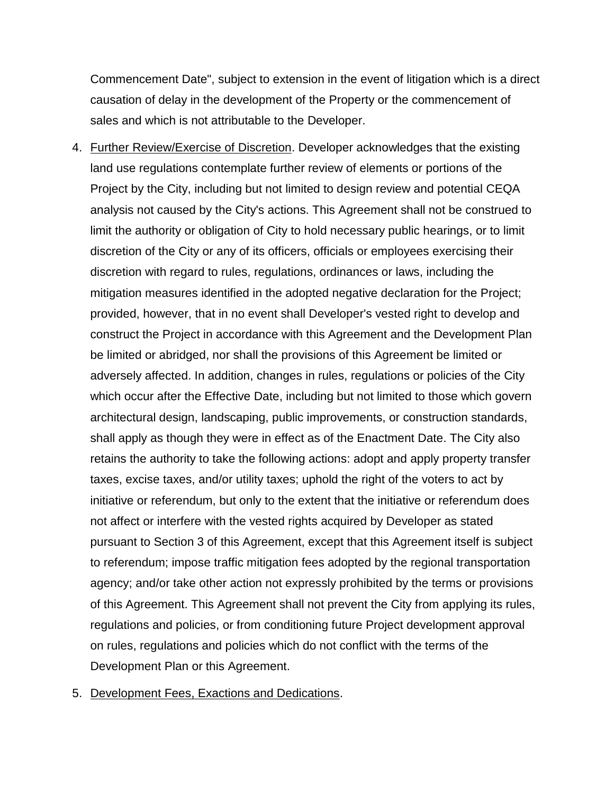Commencement Date", subject to extension in the event of litigation which is a direct causation of delay in the development of the Property or the commencement of sales and which is not attributable to the Developer.

4. Further Review/Exercise of Discretion. Developer acknowledges that the existing land use regulations contemplate further review of elements or portions of the Project by the City, including but not limited to design review and potential CEQA analysis not caused by the City's actions. This Agreement shall not be construed to limit the authority or obligation of City to hold necessary public hearings, or to limit discretion of the City or any of its officers, officials or employees exercising their discretion with regard to rules, regulations, ordinances or laws, including the mitigation measures identified in the adopted negative declaration for the Project; provided, however, that in no event shall Developer's vested right to develop and construct the Project in accordance with this Agreement and the Development Plan be limited or abridged, nor shall the provisions of this Agreement be limited or adversely affected. In addition, changes in rules, regulations or policies of the City which occur after the Effective Date, including but not limited to those which govern architectural design, landscaping, public improvements, or construction standards, shall apply as though they were in effect as of the Enactment Date. The City also retains the authority to take the following actions: adopt and apply property transfer taxes, excise taxes, and/or utility taxes; uphold the right of the voters to act by initiative or referendum, but only to the extent that the initiative or referendum does not affect or interfere with the vested rights acquired by Developer as stated pursuant to Section 3 of this Agreement, except that this Agreement itself is subject to referendum; impose traffic mitigation fees adopted by the regional transportation agency; and/or take other action not expressly prohibited by the terms or provisions of this Agreement. This Agreement shall not prevent the City from applying its rules, regulations and policies, or from conditioning future Project development approval on rules, regulations and policies which do not conflict with the terms of the Development Plan or this Agreement.

5. Development Fees, Exactions and Dedications.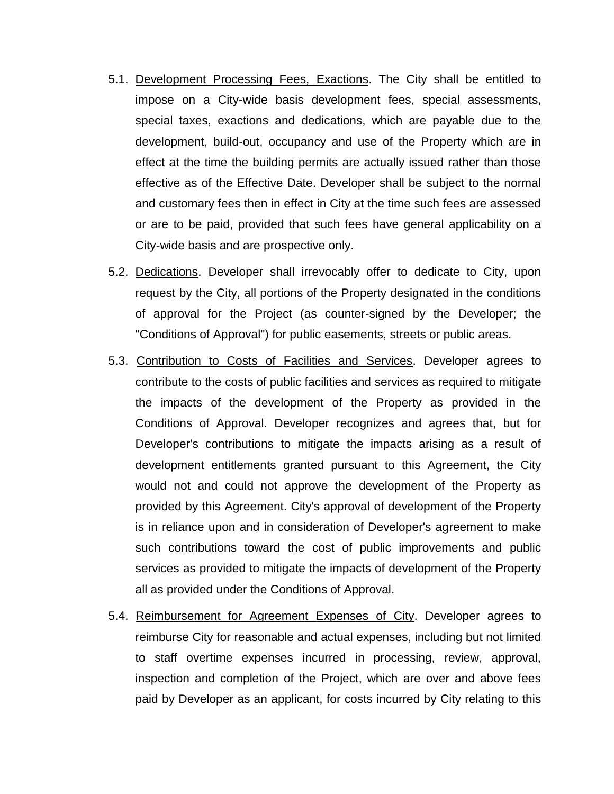- 5.1. Development Processing Fees, Exactions. The City shall be entitled to impose on a City-wide basis development fees, special assessments, special taxes, exactions and dedications, which are payable due to the development, build-out, occupancy and use of the Property which are in effect at the time the building permits are actually issued rather than those effective as of the Effective Date. Developer shall be subject to the normal and customary fees then in effect in City at the time such fees are assessed or are to be paid, provided that such fees have general applicability on a City-wide basis and are prospective only.
- 5.2. Dedications. Developer shall irrevocably offer to dedicate to City, upon request by the City, all portions of the Property designated in the conditions of approval for the Project (as counter-signed by the Developer; the "Conditions of Approval") for public easements, streets or public areas.
- 5.3. Contribution to Costs of Facilities and Services. Developer agrees to contribute to the costs of public facilities and services as required to mitigate the impacts of the development of the Property as provided in the Conditions of Approval. Developer recognizes and agrees that, but for Developer's contributions to mitigate the impacts arising as a result of development entitlements granted pursuant to this Agreement, the City would not and could not approve the development of the Property as provided by this Agreement. City's approval of development of the Property is in reliance upon and in consideration of Developer's agreement to make such contributions toward the cost of public improvements and public services as provided to mitigate the impacts of development of the Property all as provided under the Conditions of Approval.
- 5.4. Reimbursement for Agreement Expenses of City. Developer agrees to reimburse City for reasonable and actual expenses, including but not limited to staff overtime expenses incurred in processing, review, approval, inspection and completion of the Project, which are over and above fees paid by Developer as an applicant, for costs incurred by City relating to this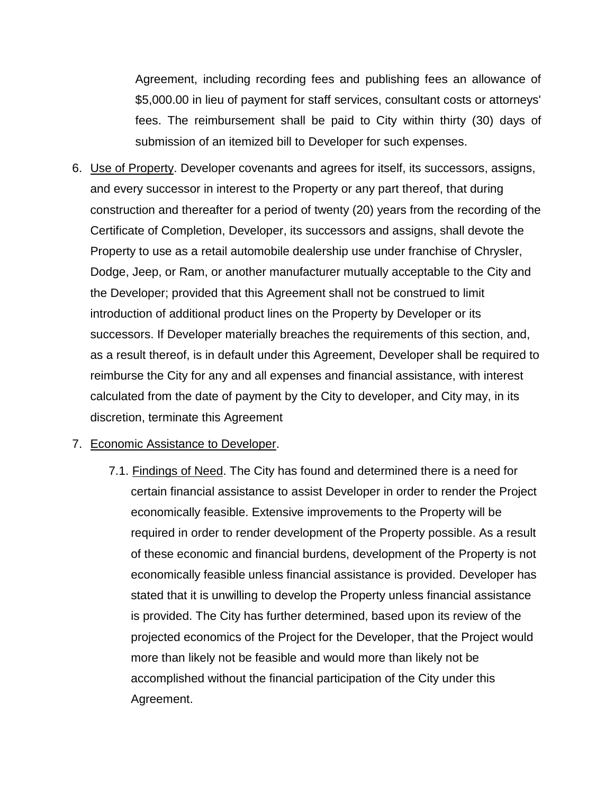Agreement, including recording fees and publishing fees an allowance of \$5,000.00 in lieu of payment for staff services, consultant costs or attorneys' fees. The reimbursement shall be paid to City within thirty (30) days of submission of an itemized bill to Developer for such expenses.

6. Use of Property. Developer covenants and agrees for itself, its successors, assigns, and every successor in interest to the Property or any part thereof, that during construction and thereafter for a period of twenty (20) years from the recording of the Certificate of Completion, Developer, its successors and assigns, shall devote the Property to use as a retail automobile dealership use under franchise of Chrysler, Dodge, Jeep, or Ram, or another manufacturer mutually acceptable to the City and the Developer; provided that this Agreement shall not be construed to limit introduction of additional product lines on the Property by Developer or its successors. If Developer materially breaches the requirements of this section, and, as a result thereof, is in default under this Agreement, Developer shall be required to reimburse the City for any and all expenses and financial assistance, with interest calculated from the date of payment by the City to developer, and City may, in its discretion, terminate this Agreement

## 7. Economic Assistance to Developer.

7.1. Findings of Need. The City has found and determined there is a need for certain financial assistance to assist Developer in order to render the Project economically feasible. Extensive improvements to the Property will be required in order to render development of the Property possible. As a result of these economic and financial burdens, development of the Property is not economically feasible unless financial assistance is provided. Developer has stated that it is unwilling to develop the Property unless financial assistance is provided. The City has further determined, based upon its review of the projected economics of the Project for the Developer, that the Project would more than likely not be feasible and would more than likely not be accomplished without the financial participation of the City under this Agreement.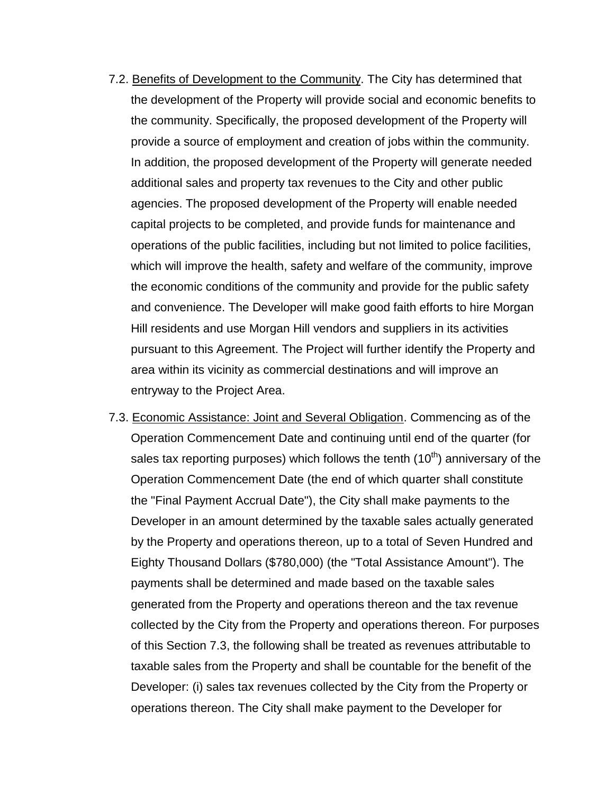- 7.2. Benefits of Development to the Community. The City has determined that the development of the Property will provide social and economic benefits to the community. Specifically, the proposed development of the Property will provide a source of employment and creation of jobs within the community. In addition, the proposed development of the Property will generate needed additional sales and property tax revenues to the City and other public agencies. The proposed development of the Property will enable needed capital projects to be completed, and provide funds for maintenance and operations of the public facilities, including but not limited to police facilities, which will improve the health, safety and welfare of the community, improve the economic conditions of the community and provide for the public safety and convenience. The Developer will make good faith efforts to hire Morgan Hill residents and use Morgan Hill vendors and suppliers in its activities pursuant to this Agreement. The Project will further identify the Property and area within its vicinity as commercial destinations and will improve an entryway to the Project Area.
- 7.3. Economic Assistance: Joint and Several Obligation. Commencing as of the Operation Commencement Date and continuing until end of the quarter (for sales tax reporting purposes) which follows the tenth  $(10<sup>th</sup>)$  anniversary of the Operation Commencement Date (the end of which quarter shall constitute the "Final Payment Accrual Date"), the City shall make payments to the Developer in an amount determined by the taxable sales actually generated by the Property and operations thereon, up to a total of Seven Hundred and Eighty Thousand Dollars (\$780,000) (the "Total Assistance Amount"). The payments shall be determined and made based on the taxable sales generated from the Property and operations thereon and the tax revenue collected by the City from the Property and operations thereon. For purposes of this Section 7.3, the following shall be treated as revenues attributable to taxable sales from the Property and shall be countable for the benefit of the Developer: (i) sales tax revenues collected by the City from the Property or operations thereon. The City shall make payment to the Developer for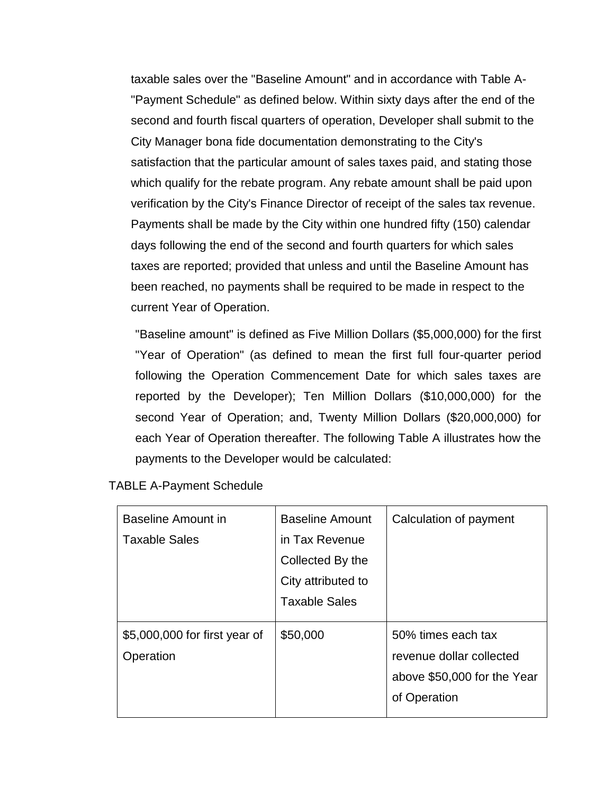taxable sales over the "Baseline Amount" and in accordance with Table A- "Payment Schedule" as defined below. Within sixty days after the end of the second and fourth fiscal quarters of operation, Developer shall submit to the City Manager bona fide documentation demonstrating to the City's satisfaction that the particular amount of sales taxes paid, and stating those which qualify for the rebate program. Any rebate amount shall be paid upon verification by the City's Finance Director of receipt of the sales tax revenue. Payments shall be made by the City within one hundred fifty (150) calendar days following the end of the second and fourth quarters for which sales taxes are reported; provided that unless and until the Baseline Amount has been reached, no payments shall be required to be made in respect to the current Year of Operation.

"Baseline amount" is defined as Five Million Dollars (\$5,000,000) for the first "Year of Operation" (as defined to mean the first full four-quarter period following the Operation Commencement Date for which sales taxes are reported by the Developer); Ten Million Dollars (\$10,000,000) for the second Year of Operation; and, Twenty Million Dollars (\$20,000,000) for each Year of Operation thereafter. The following Table A illustrates how the payments to the Developer would be calculated:

|  | <b>TABLE A-Payment Schedule</b> |
|--|---------------------------------|
|--|---------------------------------|

| Baseline Amount in            | <b>Baseline Amount</b> | Calculation of payment      |
|-------------------------------|------------------------|-----------------------------|
| <b>Taxable Sales</b>          | in Tax Revenue         |                             |
|                               | Collected By the       |                             |
|                               | City attributed to     |                             |
|                               | <b>Taxable Sales</b>   |                             |
|                               |                        |                             |
| \$5,000,000 for first year of | \$50,000               | 50% times each tax          |
| Operation                     |                        | revenue dollar collected    |
|                               |                        | above \$50,000 for the Year |
|                               |                        | of Operation                |
|                               |                        |                             |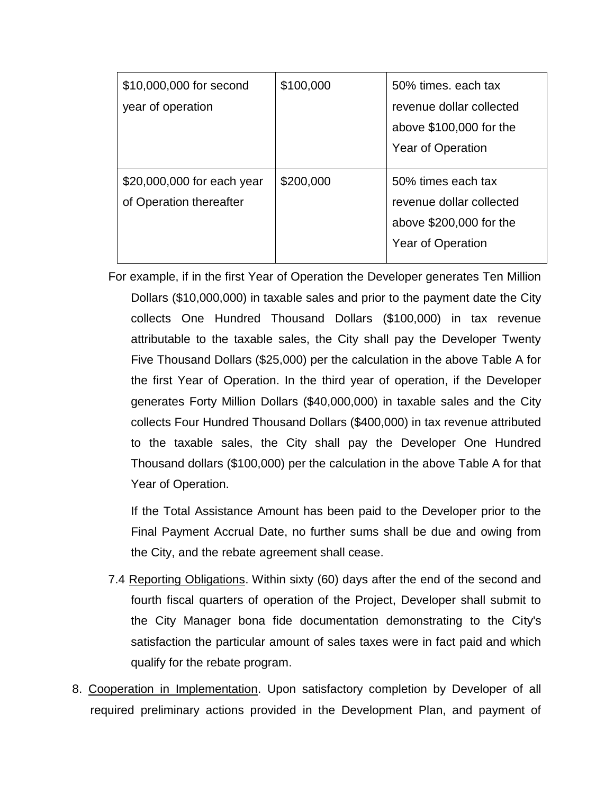| \$10,000,000 for second    | \$100,000 | 50% times, each tax      |
|----------------------------|-----------|--------------------------|
| year of operation          |           | revenue dollar collected |
|                            |           | above \$100,000 for the  |
|                            |           | <b>Year of Operation</b> |
| \$20,000,000 for each year | \$200,000 | 50% times each tax       |
| of Operation thereafter    |           | revenue dollar collected |
|                            |           | above \$200,000 for the  |
|                            |           | <b>Year of Operation</b> |
|                            |           |                          |

For example, if in the first Year of Operation the Developer generates Ten Million Dollars (\$10,000,000) in taxable sales and prior to the payment date the City collects One Hundred Thousand Dollars (\$100,000) in tax revenue attributable to the taxable sales, the City shall pay the Developer Twenty Five Thousand Dollars (\$25,000) per the calculation in the above Table A for the first Year of Operation. In the third year of operation, if the Developer generates Forty Million Dollars (\$40,000,000) in taxable sales and the City collects Four Hundred Thousand Dollars (\$400,000) in tax revenue attributed to the taxable sales, the City shall pay the Developer One Hundred Thousand dollars (\$100,000) per the calculation in the above Table A for that Year of Operation.

If the Total Assistance Amount has been paid to the Developer prior to the Final Payment Accrual Date, no further sums shall be due and owing from the City, and the rebate agreement shall cease.

- 7.4 Reporting Obligations. Within sixty (60) days after the end of the second and fourth fiscal quarters of operation of the Project, Developer shall submit to the City Manager bona fide documentation demonstrating to the City's satisfaction the particular amount of sales taxes were in fact paid and which qualify for the rebate program.
- 8. Cooperation in Implementation. Upon satisfactory completion by Developer of all required preliminary actions provided in the Development Plan, and payment of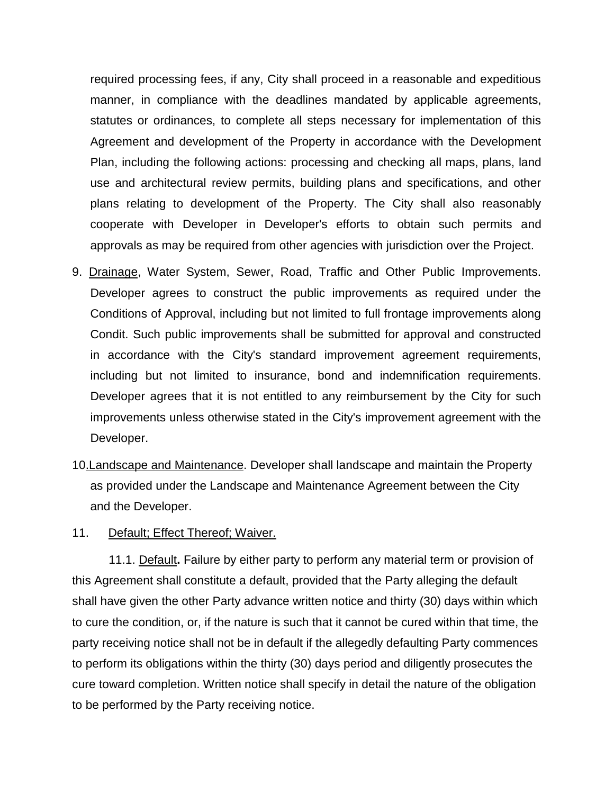required processing fees, if any, City shall proceed in a reasonable and expeditious manner, in compliance with the deadlines mandated by applicable agreements, statutes or ordinances, to complete all steps necessary for implementation of this Agreement and development of the Property in accordance with the Development Plan, including the following actions: processing and checking all maps, plans, land use and architectural review permits, building plans and specifications, and other plans relating to development of the Property. The City shall also reasonably cooperate with Developer in Developer's efforts to obtain such permits and approvals as may be required from other agencies with jurisdiction over the Project.

- 9. Drainage, Water System, Sewer, Road, Traffic and Other Public Improvements. Developer agrees to construct the public improvements as required under the Conditions of Approval, including but not limited to full frontage improvements along Condit. Such public improvements shall be submitted for approval and constructed in accordance with the City's standard improvement agreement requirements, including but not limited to insurance, bond and indemnification requirements. Developer agrees that it is not entitled to any reimbursement by the City for such improvements unless otherwise stated in the City's improvement agreement with the Developer.
- 10.Landscape and Maintenance. Developer shall landscape and maintain the Property as provided under the Landscape and Maintenance Agreement between the City and the Developer.
- 11. Default; Effect Thereof; Waiver.

11.1. Default**.** Failure by either party to perform any material term or provision of this Agreement shall constitute a default, provided that the Party alleging the default shall have given the other Party advance written notice and thirty (30) days within which to cure the condition, or, if the nature is such that it cannot be cured within that time, the party receiving notice shall not be in default if the allegedly defaulting Party commences to perform its obligations within the thirty (30) days period and diligently prosecutes the cure toward completion. Written notice shall specify in detail the nature of the obligation to be performed by the Party receiving notice.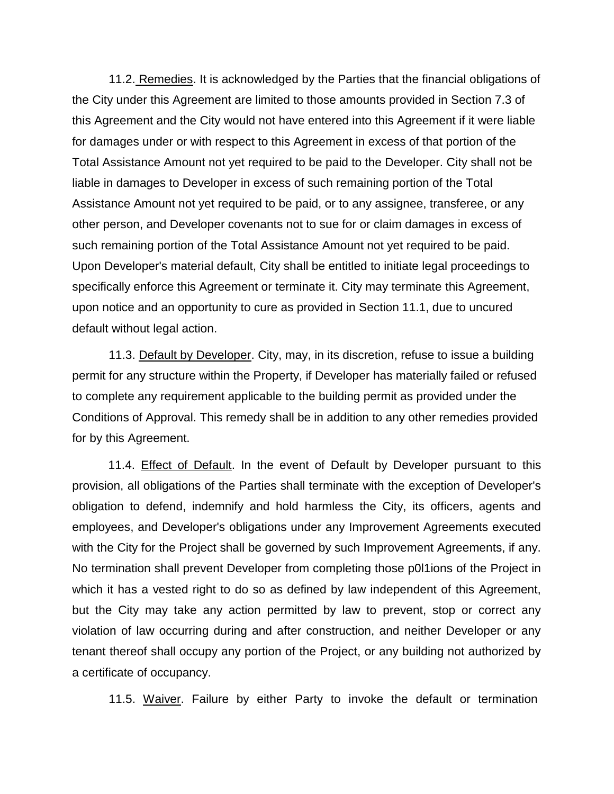11.2. Remedies. It is acknowledged by the Parties that the financial obligations of the City under this Agreement are limited to those amounts provided in Section 7.3 of this Agreement and the City would not have entered into this Agreement if it were liable for damages under or with respect to this Agreement in excess of that portion of the Total Assistance Amount not yet required to be paid to the Developer. City shall not be liable in damages to Developer in excess of such remaining portion of the Total Assistance Amount not yet required to be paid, or to any assignee, transferee, or any other person, and Developer covenants not to sue for or claim damages in excess of such remaining portion of the Total Assistance Amount not yet required to be paid. Upon Developer's material default, City shall be entitled to initiate legal proceedings to specifically enforce this Agreement or terminate it. City may terminate this Agreement, upon notice and an opportunity to cure as provided in Section 11.1, due to uncured default without legal action.

11.3. Default by Developer. City, may, in its discretion, refuse to issue a building permit for any structure within the Property, if Developer has materially failed or refused to complete any requirement applicable to the building permit as provided under the Conditions of Approval. This remedy shall be in addition to any other remedies provided for by this Agreement.

11.4. Effect of Default. In the event of Default by Developer pursuant to this provision, all obligations of the Parties shall terminate with the exception of Developer's obligation to defend, indemnify and hold harmless the City, its officers, agents and employees, and Developer's obligations under any Improvement Agreements executed with the City for the Project shall be governed by such Improvement Agreements, if any. No termination shall prevent Developer from completing those p0l1ions of the Project in which it has a vested right to do so as defined by law independent of this Agreement, but the City may take any action permitted by law to prevent, stop or correct any violation of law occurring during and after construction, and neither Developer or any tenant thereof shall occupy any portion of the Project, or any building not authorized by a certificate of occupancy.

11.5. Waiver. Failure by either Party to invoke the default or termination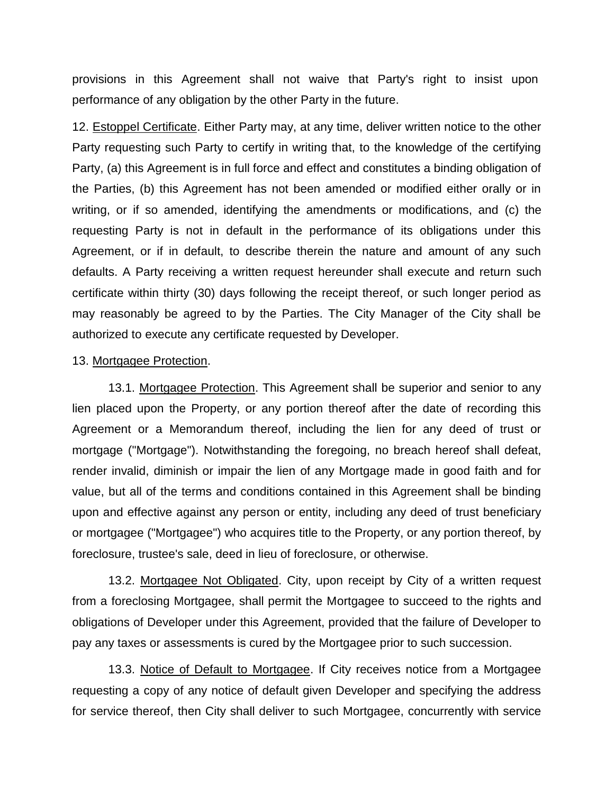provisions in this Agreement shall not waive that Party's right to insist upon performance of any obligation by the other Party in the future.

12. Estoppel Certificate. Either Party may, at any time, deliver written notice to the other Party requesting such Party to certify in writing that, to the knowledge of the certifying Party, (a) this Agreement is in full force and effect and constitutes a binding obligation of the Parties, (b) this Agreement has not been amended or modified either orally or in writing, or if so amended, identifying the amendments or modifications, and (c) the requesting Party is not in default in the performance of its obligations under this Agreement, or if in default, to describe therein the nature and amount of any such defaults. A Party receiving a written request hereunder shall execute and return such certificate within thirty (30) days following the receipt thereof, or such longer period as may reasonably be agreed to by the Parties. The City Manager of the City shall be authorized to execute any certificate requested by Developer.

#### 13. Mortgagee Protection.

13.1. Mortgagee Protection. This Agreement shall be superior and senior to any lien placed upon the Property, or any portion thereof after the date of recording this Agreement or a Memorandum thereof, including the lien for any deed of trust or mortgage ("Mortgage"). Notwithstanding the foregoing, no breach hereof shall defeat, render invalid, diminish or impair the lien of any Mortgage made in good faith and for value, but all of the terms and conditions contained in this Agreement shall be binding upon and effective against any person or entity, including any deed of trust beneficiary or mortgagee ("Mortgagee") who acquires title to the Property, or any portion thereof, by foreclosure, trustee's sale, deed in lieu of foreclosure, or otherwise.

13.2. Mortgagee Not Obligated. City, upon receipt by City of a written request from a foreclosing Mortgagee, shall permit the Mortgagee to succeed to the rights and obligations of Developer under this Agreement, provided that the failure of Developer to pay any taxes or assessments is cured by the Mortgagee prior to such succession.

13.3. Notice of Default to Mortgagee. If City receives notice from a Mortgagee requesting a copy of any notice of default given Developer and specifying the address for service thereof, then City shall deliver to such Mortgagee, concurrently with service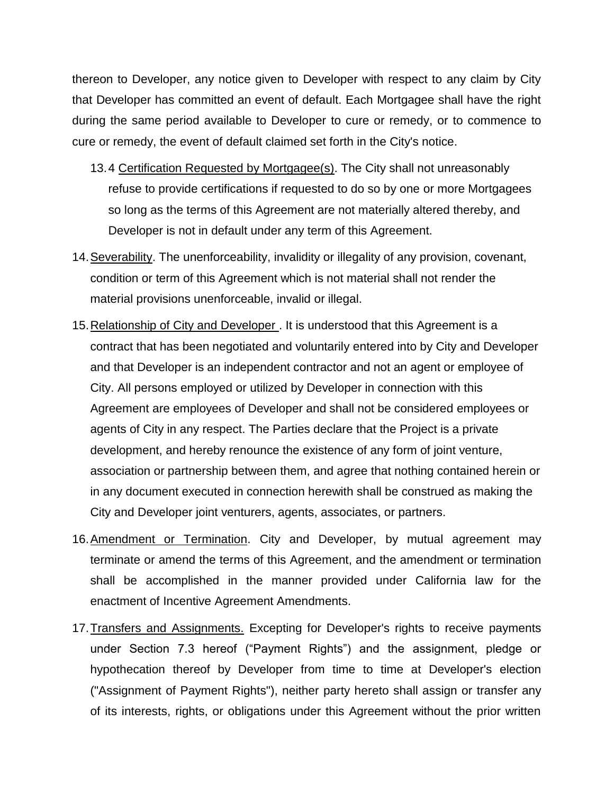thereon to Developer, any notice given to Developer with respect to any claim by City that Developer has committed an event of default. Each Mortgagee shall have the right during the same period available to Developer to cure or remedy, or to commence to cure or remedy, the event of default claimed set forth in the City's notice.

- 13.4 Certification Requested by Mortgagee(s). The City shall not unreasonably refuse to provide certifications if requested to do so by one or more Mortgagees so long as the terms of this Agreement are not materially altered thereby, and Developer is not in default under any term of this Agreement.
- 14. Severability. The unenforceability, invalidity or illegality of any provision, covenant, condition or term of this Agreement which is not material shall not render the material provisions unenforceable, invalid or illegal.
- 15.Relationship of City and Developer . It is understood that this Agreement is a contract that has been negotiated and voluntarily entered into by City and Developer and that Developer is an independent contractor and not an agent or employee of City. All persons employed or utilized by Developer in connection with this Agreement are employees of Developer and shall not be considered employees or agents of City in any respect. The Parties declare that the Project is a private development, and hereby renounce the existence of any form of joint venture, association or partnership between them, and agree that nothing contained herein or in any document executed in connection herewith shall be construed as making the City and Developer joint venturers, agents, associates, or partners.
- 16. Amendment or Termination. City and Developer, by mutual agreement may terminate or amend the terms of this Agreement, and the amendment or termination shall be accomplished in the manner provided under California law for the enactment of Incentive Agreement Amendments.
- 17. Transfers and Assignments. Excepting for Developer's rights to receive payments under Section 7.3 hereof ("Payment Rights") and the assignment, pledge or hypothecation thereof by Developer from time to time at Developer's election ("Assignment of Payment Rights"), neither party hereto shall assign or transfer any of its interests, rights, or obligations under this Agreement without the prior written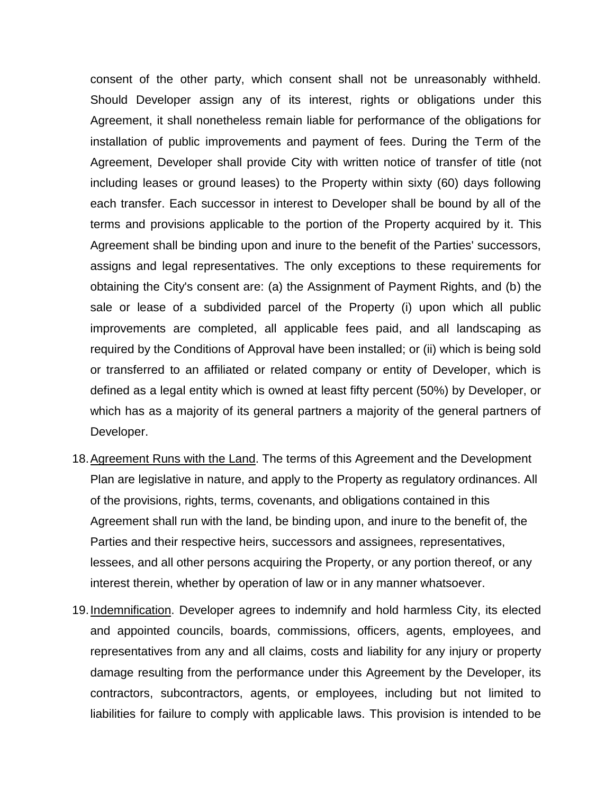consent of the other party, which consent shall not be unreasonably withheld. Should Developer assign any of its interest, rights or obligations under this Agreement, it shall nonetheless remain liable for performance of the obligations for installation of public improvements and payment of fees. During the Term of the Agreement, Developer shall provide City with written notice of transfer of title (not including leases or ground leases) to the Property within sixty (60) days following each transfer. Each successor in interest to Developer shall be bound by all of the terms and provisions applicable to the portion of the Property acquired by it. This Agreement shall be binding upon and inure to the benefit of the Parties' successors, assigns and legal representatives. The only exceptions to these requirements for obtaining the City's consent are: (a) the Assignment of Payment Rights, and (b) the sale or lease of a subdivided parcel of the Property (i) upon which all public improvements are completed, all applicable fees paid, and all landscaping as required by the Conditions of Approval have been installed; or (ii) which is being sold or transferred to an affiliated or related company or entity of Developer, which is defined as a legal entity which is owned at least fifty percent (50%) by Developer, or which has as a majority of its general partners a majority of the general partners of Developer.

- 18.Agreement Runs with the Land. The terms of this Agreement and the Development Plan are legislative in nature, and apply to the Property as regulatory ordinances. All of the provisions, rights, terms, covenants, and obligations contained in this Agreement shall run with the land, be binding upon, and inure to the benefit of, the Parties and their respective heirs, successors and assignees, representatives, lessees, and all other persons acquiring the Property, or any portion thereof, or any interest therein, whether by operation of law or in any manner whatsoever.
- 19. Indemnification. Developer agrees to indemnify and hold harmless City, its elected and appointed councils, boards, commissions, officers, agents, employees, and representatives from any and all claims, costs and liability for any injury or property damage resulting from the performance under this Agreement by the Developer, its contractors, subcontractors, agents, or employees, including but not limited to liabilities for failure to comply with applicable laws. This provision is intended to be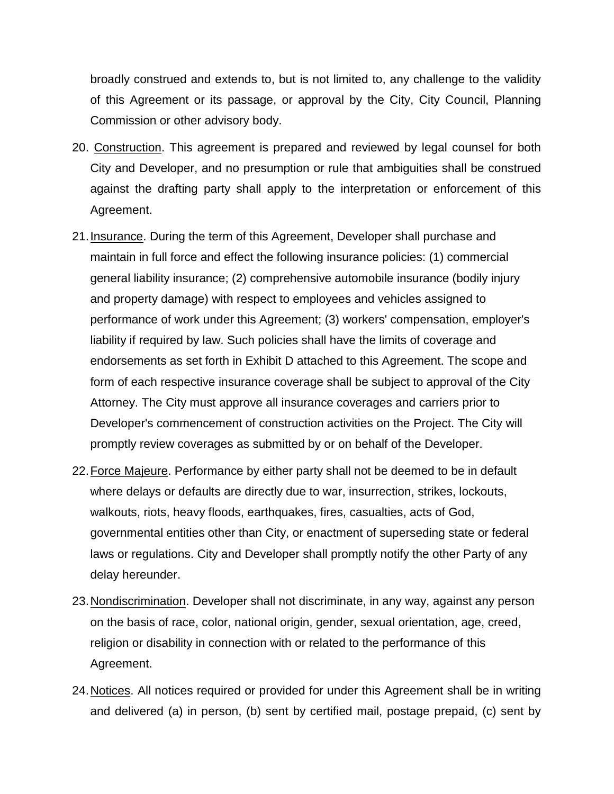broadly construed and extends to, but is not limited to, any challenge to the validity of this Agreement or its passage, or approval by the City, City Council, Planning Commission or other advisory body.

- 20. Construction. This agreement is prepared and reviewed by legal counsel for both City and Developer, and no presumption or rule that ambiguities shall be construed against the drafting party shall apply to the interpretation or enforcement of this Agreement.
- 21.Insurance. During the term of this Agreement, Developer shall purchase and maintain in full force and effect the following insurance policies: (1) commercial general liability insurance; (2) comprehensive automobile insurance (bodily injury and property damage) with respect to employees and vehicles assigned to performance of work under this Agreement; (3) workers' compensation, employer's liability if required by law. Such policies shall have the limits of coverage and endorsements as set forth in Exhibit D attached to this Agreement. The scope and form of each respective insurance coverage shall be subject to approval of the City Attorney. The City must approve all insurance coverages and carriers prior to Developer's commencement of construction activities on the Project. The City will promptly review coverages as submitted by or on behalf of the Developer.
- 22. Force Majeure. Performance by either party shall not be deemed to be in default where delays or defaults are directly due to war, insurrection, strikes, lockouts, walkouts, riots, heavy floods, earthquakes, fires, casualties, acts of God, governmental entities other than City, or enactment of superseding state or federal laws or regulations. City and Developer shall promptly notify the other Party of any delay hereunder.
- 23.Nondiscrimination. Developer shall not discriminate, in any way, against any person on the basis of race, color, national origin, gender, sexual orientation, age, creed, religion or disability in connection with or related to the performance of this Agreement.
- 24.Notices. All notices required or provided for under this Agreement shall be in writing and delivered (a) in person, (b) sent by certified mail, postage prepaid, (c) sent by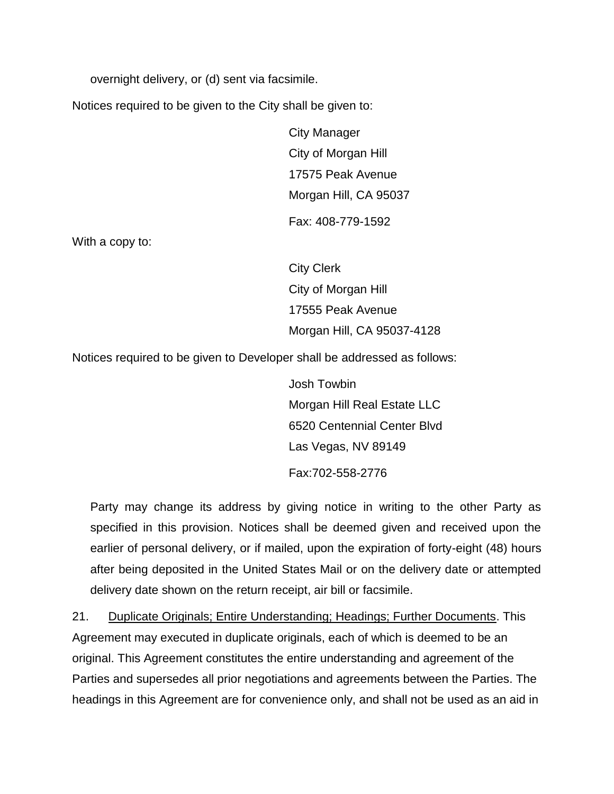overnight delivery, or (d) sent via facsimile.

Notices required to be given to the City shall be given to:

City Manager City of Morgan Hill 17575 Peak Avenue Morgan Hill, CA 95037 Fax: 408-779-1592

With a copy to:

City Clerk City of Morgan Hill 17555 Peak Avenue Morgan Hill, CA 95037-4128

Notices required to be given to Developer shall be addressed as follows:

Josh Towbin Morgan Hill Real Estate LLC 6520 Centennial Center Blvd Las Vegas, NV 89149

Fax:702-558-2776

Party may change its address by giving notice in writing to the other Party as specified in this provision. Notices shall be deemed given and received upon the earlier of personal delivery, or if mailed, upon the expiration of forty-eight (48) hours after being deposited in the United States Mail or on the delivery date or attempted delivery date shown on the return receipt, air bill or facsimile.

21. Duplicate Originals; Entire Understanding; Headings; Further Documents. This Agreement may executed in duplicate originals, each of which is deemed to be an original. This Agreement constitutes the entire understanding and agreement of the Parties and supersedes all prior negotiations and agreements between the Parties. The headings in this Agreement are for convenience only, and shall not be used as an aid in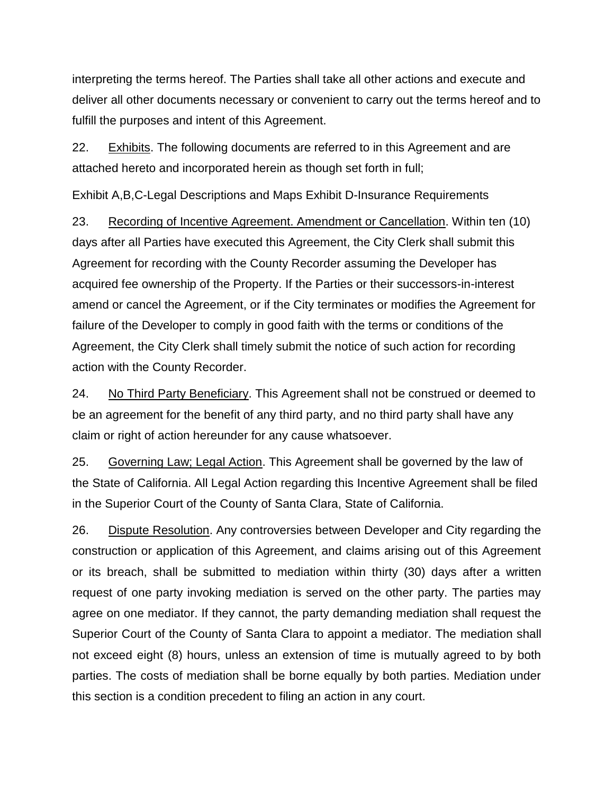interpreting the terms hereof. The Parties shall take all other actions and execute and deliver all other documents necessary or convenient to carry out the terms hereof and to fulfill the purposes and intent of this Agreement.

22. Exhibits. The following documents are referred to in this Agreement and are attached hereto and incorporated herein as though set forth in full;

Exhibit A,B,C-Legal Descriptions and Maps Exhibit D-Insurance Requirements

23. Recording of Incentive Agreement. Amendment or Cancellation. Within ten (10) days after all Parties have executed this Agreement, the City Clerk shall submit this Agreement for recording with the County Recorder assuming the Developer has acquired fee ownership of the Property. If the Parties or their successors-in-interest amend or cancel the Agreement, or if the City terminates or modifies the Agreement for failure of the Developer to comply in good faith with the terms or conditions of the Agreement, the City Clerk shall timely submit the notice of such action for recording action with the County Recorder.

24. No Third Party Beneficiary. This Agreement shall not be construed or deemed to be an agreement for the benefit of any third party, and no third party shall have any claim or right of action hereunder for any cause whatsoever.

25. Governing Law; Legal Action. This Agreement shall be governed by the law of the State of California. All Legal Action regarding this Incentive Agreement shall be filed in the Superior Court of the County of Santa Clara, State of California.

26. Dispute Resolution. Any controversies between Developer and City regarding the construction or application of this Agreement, and claims arising out of this Agreement or its breach, shall be submitted to mediation within thirty (30) days after a written request of one party invoking mediation is served on the other party. The parties may agree on one mediator. If they cannot, the party demanding mediation shall request the Superior Court of the County of Santa Clara to appoint a mediator. The mediation shall not exceed eight (8) hours, unless an extension of time is mutually agreed to by both parties. The costs of mediation shall be borne equally by both parties. Mediation under this section is a condition precedent to filing an action in any court.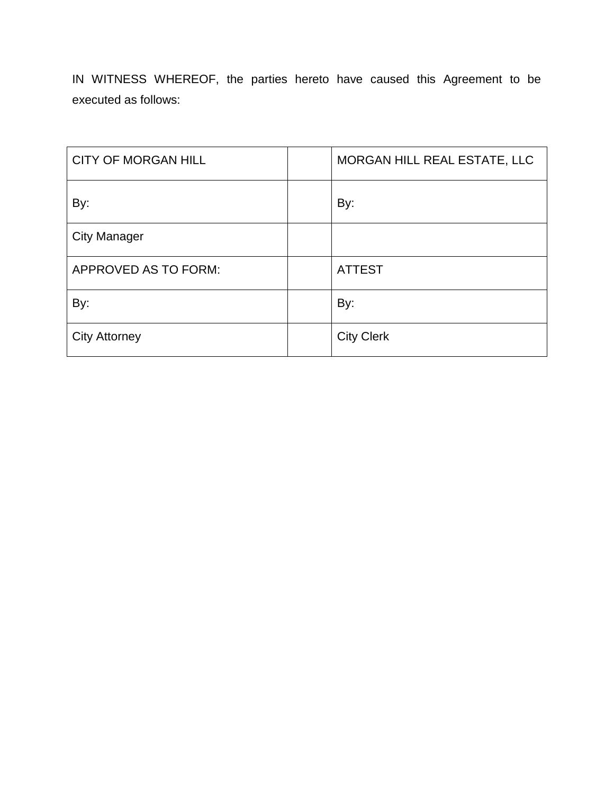IN WITNESS WHEREOF, the parties hereto have caused this Agreement to be executed as follows:

| <b>CITY OF MORGAN HILL</b> | MORGAN HILL REAL ESTATE, LLC |
|----------------------------|------------------------------|
| By:                        | By:                          |
| <b>City Manager</b>        |                              |
| APPROVED AS TO FORM:       | <b>ATTEST</b>                |
| By:                        | By:                          |
| <b>City Attorney</b>       | <b>City Clerk</b>            |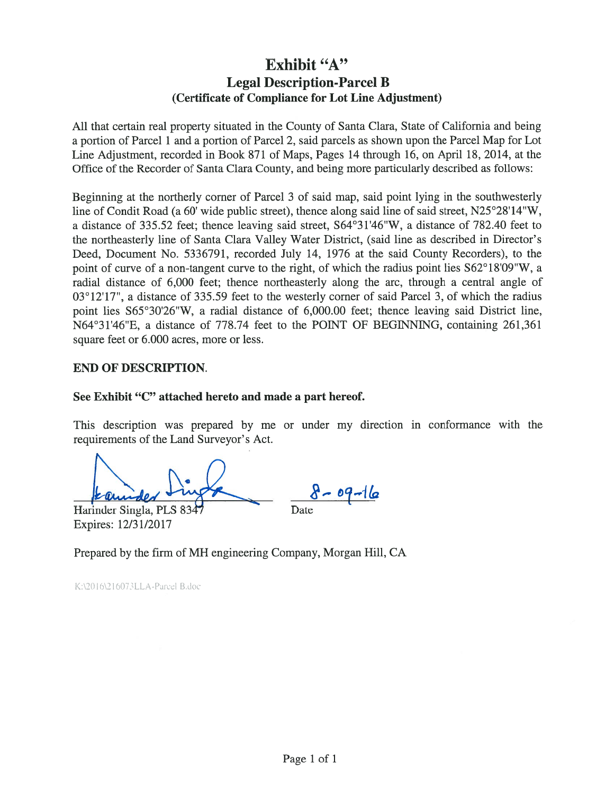# Exhibit "A" **Legal Description-Parcel B** (Certificate of Compliance for Lot Line Adjustment)

All that certain real property situated in the County of Santa Clara, State of California and being a portion of Parcel 1 and a portion of Parcel 2, said parcels as shown upon the Parcel Map for Lot Line Adjustment, recorded in Book 871 of Maps, Pages 14 through 16, on April 18, 2014, at the Office of the Recorder of Santa Clara County, and being more particularly described as follows:

Beginning at the northerly corner of Parcel 3 of said map, said point lying in the southwesterly line of Condit Road (a 60' wide public street), thence along said line of said street, N25°28'14"W, a distance of 335.52 feet; thence leaving said street, S64°31'46"W, a distance of 782.40 feet to the northeasterly line of Santa Clara Valley Water District, (said line as described in Director's Deed, Document No. 5336791, recorded July 14, 1976 at the said County Recorders), to the point of curve of a non-tangent curve to the right, of which the radius point lies S62°18'09"W, a radial distance of 6,000 feet; thence northeasterly along the arc, through a central angle of 03°12'17", a distance of 335.59 feet to the westerly corner of said Parcel 3, of which the radius point lies S65°30'26"W, a radial distance of 6,000.00 feet; thence leaving said District line, N64°31'46"E, a distance of 778.74 feet to the POINT OF BEGINNING, containing 261,361 square feet or 6.000 acres, more or less.

# **END OF DESCRIPTION.**

# See Exhibit "C" attached hereto and made a part hereof.

This description was prepared by me or under my direction in conformance with the requirements of the Land Surveyor's Act.

 $8 - 09 - 16$ Harinder Singla, PLS 83 Date Expires: 12/31/2017

Prepared by the firm of MH engineering Company, Morgan Hill, CA

K:\2016\216073LLA-Parcel B.doc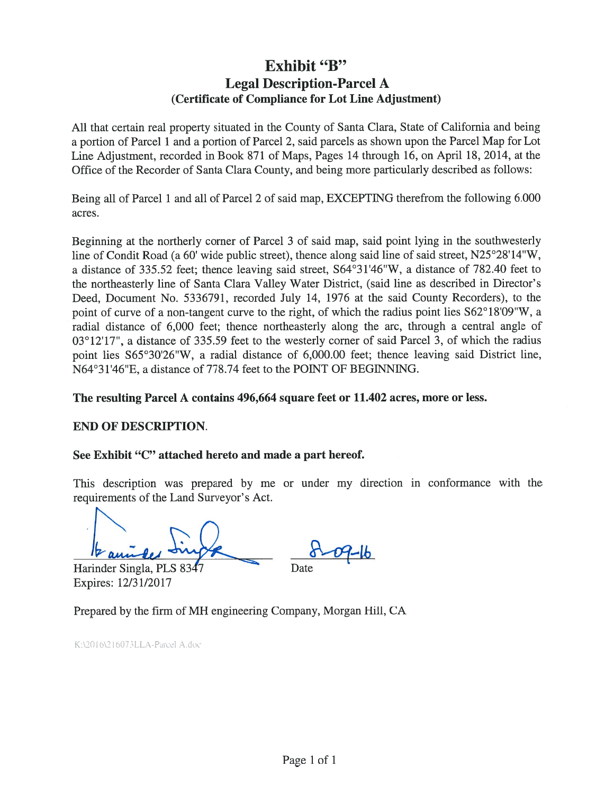# Exhibit "B" **Legal Description-Parcel A** (Certificate of Compliance for Lot Line Adjustment)

All that certain real property situated in the County of Santa Clara, State of California and being a portion of Parcel 1 and a portion of Parcel 2, said parcels as shown upon the Parcel Map for Lot Line Adjustment, recorded in Book 871 of Maps, Pages 14 through 16, on April 18, 2014, at the Office of the Recorder of Santa Clara County, and being more particularly described as follows:

Being all of Parcel 1 and all of Parcel 2 of said map, EXCEPTING therefrom the following 6.000 acres.

Beginning at the northerly corner of Parcel 3 of said map, said point lying in the southwesterly line of Condit Road (a 60' wide public street), thence along said line of said street, N25°28'14"W, a distance of 335.52 feet; thence leaving said street, S64°31'46"W, a distance of 782.40 feet to the northeasterly line of Santa Clara Valley Water District, (said line as described in Director's Deed, Document No. 5336791, recorded July 14, 1976 at the said County Recorders), to the point of curve of a non-tangent curve to the right, of which the radius point lies S62°18'09"W, a radial distance of 6,000 feet; thence northeasterly along the arc, through a central angle of 03°12'17", a distance of 335.59 feet to the westerly corner of said Parcel 3, of which the radius point lies S65°30'26"W, a radial distance of 6,000.00 feet; thence leaving said District line, N64°31'46"E, a distance of 778.74 feet to the POINT OF BEGINNING.

# The resulting Parcel A contains 496,664 square feet or 11.402 acres, more or less.

## **END OF DESCRIPTION.**

## See Exhibit "C" attached hereto and made a part hereof.

This description was prepared by me or under my direction in conformance with the requirements of the Land Surveyor's Act.

Harinder Singla, PLS 834 Expires: 12/31/2017

Date

Prepared by the firm of MH engineering Company, Morgan Hill, CA

K:\2016\216073LLA-Parcel A.doc